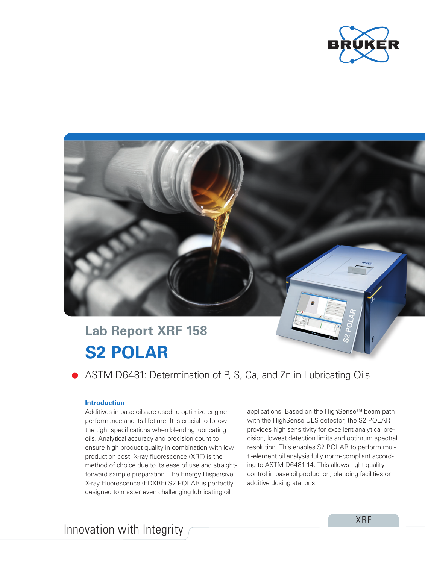



# **S2 POLAR Lab Report XRF 158**

ASTM D6481: Determination of P, S, Ca, and Zn in Lubricating Oils

## **Introduction**

Additives in base oils are used to optimize engine performance and its lifetime. It is crucial to follow the tight specifications when blending lubricating oils. Analytical accuracy and precision count to ensure high product quality in combination with low production cost. X-ray fluorescence (XRF) is the method of choice due to its ease of use and straightforward sample preparation. The Energy Dispersive X-ray Fluorescence (EDXRF) S2 POLAR is perfectly designed to master even challenging lubricating oil

applications. Based on the HighSense™ beam path with the HighSense ULS detector, the S2 POLAR provides high sensitivity for excellent analytical precision, lowest detection limits and optimum spectral resolution. This enables S2 POLAR to perform multi-element oil analysis fully norm-compliant according to ASTM D6481-14. This allows tight quality control in base oil production, blending facilities or additive dosing stations.

Innovation with Integrity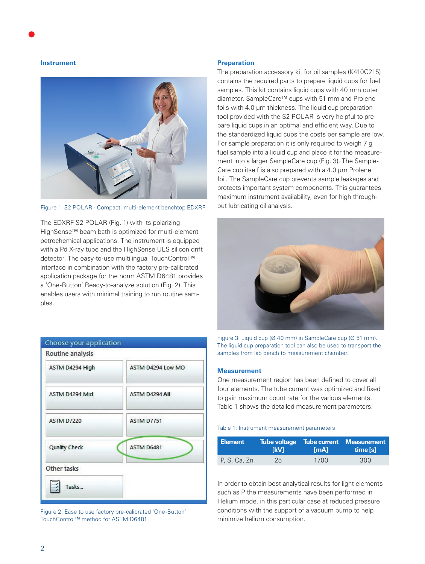#### **Instrument**



Figure 1: S2 POLAR - Compact, multi-element benchtop EDXRF

The EDXRF S2 POLAR (Fig. 1) with its polarizing HighSense™ beam bath is optimized for multi-element petrochemical applications. The instrument is equipped with a Pd X-ray tube and the HighSense ULS silicon drift detector. The easy-to-use multilingual TouchControl™ interface in combination with the factory pre-calibrated application package for the norm ASTM D6481 provides a 'One-Button' Ready-to-analyze solution (Fig. 2). This enables users with minimal training to run routine samples.



Figure 2: Ease to use factory pre-calibrated 'One-Button' TouchControl™ method for ASTM D6481

## **Preparation**

The preparation accessory kit for oil samples (K410C215) contains the required parts to prepare liquid cups for fuel samples. This kit contains liquid cups with 40 mm outer diameter, SampleCare™ cups with 51 mm and Prolene foils with 4.0 μm thickness. The liquid cup preparation tool provided with the S2 POLAR is very helpful to prepare liquid cups in an optimal and efficient way. Due to the standardized liquid cups the costs per sample are low. For sample preparation it is only required to weigh 7 g fuel sample into a liquid cup and place it for the measurement into a larger SampleCare cup (Fig. 3). The Sample-Care cup itself is also prepared with a 4.0 μm Prolene foil. The SampleCare cup prevents sample leakages and protects important system components. This guarantees maximum instrument availability, even for high throughput lubricating oil analysis.



Figure 3: Liquid cup (Ø 40 mm) in SampleCare cup (Ø 51 mm). The liquid cup preparation tool can also be used to transport the samples from lab bench to measurement chamber.

#### **Measurement**

One measurement region has been defined to cover all four elements. The tube current was optimized and fixed to gain maximum count rate for the various elements. Table 1 shows the detailed measurement parameters.

#### Table 1: Instrument measurement parameters

| <b>Element</b> | <b>TkV1</b> | [mA] | Tube voltage Tube current Measurement<br>time [s] |
|----------------|-------------|------|---------------------------------------------------|
| P. S. Ca. Zn   | 25          | 1700 | 300                                               |

In order to obtain best analytical results for light elements such as P the measurements have been performed in Helium mode, in this particular case at reduced pressure conditions with the support of a vacuum pump to help minimize helium consumption.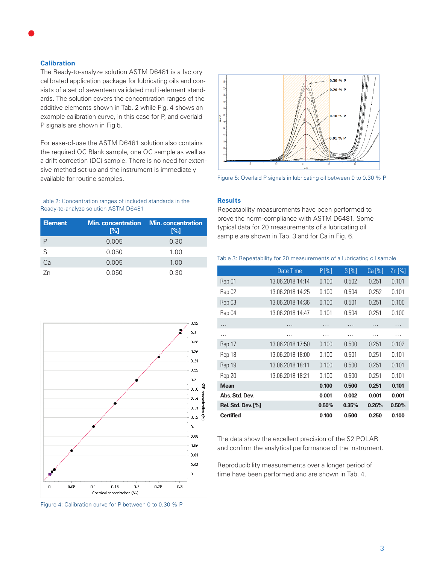## **Calibration**

The Ready-to-analyze solution ASTM D6481 is a factory calibrated application package for lubricating oils and consists of a set of seventeen validated multi-element standards. The solution covers the concentration ranges of the additive elements shown in Tab. 2 while Fig. 4 shows an example calibration curve, in this case for P, and overlaid P signals are shown in Fig 5.

For ease-of-use the ASTM D6481 solution also contains the required QC Blank sample, one QC sample as well as a drift correction (DC) sample. There is no need for extensive method set-up and the instrument is immediately available for routine samples.

#### Table 2: Concentration ranges of included standards in the Ready-to-analyze solution ASTM D6481

| <b>Element</b> | [%]   | <b>Min. concentration Min. concentration</b><br>[%] |  |  |  |
|----------------|-------|-----------------------------------------------------|--|--|--|
|                | 0.005 | 0.30                                                |  |  |  |
| S              | 0.050 | 1.00                                                |  |  |  |
| Ca             | 0.005 | 1.00                                                |  |  |  |
| 7n             | 0.050 | 0.30                                                |  |  |  |



Figure 4: Calibration curve for P between 0 to 0.30 % P



Figure 5: Overlaid P signals in lubricating oil between 0 to 0.30 % P

## **Results**

Repeatability measurements have been performed to prove the norm-compliance with ASTM D6481. Some typical data for 20 measurements of a lubricating oil sample are shown in Tab. 3 and for Ca in Fig. 6.

## Table 3: Repeatability for 20 measurements of a lubricating oil sample

|                           | Date Time        | P[%]  | $S[\%]$ | Ca <sub>1</sub> %       | $Zn$ [%] |
|---------------------------|------------------|-------|---------|-------------------------|----------|
| Rep 01                    | 13.06.2018 14:14 | 0.100 | 0.502   | 0.251                   | 0.101    |
| Rep 02                    | 13.06.2018 14:25 | 0.100 | 0.504   | 0.252                   | 0.101    |
| Rep 03                    | 13.06.2018 14:36 | 0.100 | 0.501   | 0.251                   | 0.100    |
| Rep 04                    | 13.06.2018 14:47 | 0.101 | 0.504   | 0.251                   | 0.100    |
| .                         | .                | .     | .       | $\cdot$ $\cdot$ $\cdot$ | .        |
| .                         | .                | .     | .       | .                       | .        |
| Rep 17                    | 13.06.2018 17:50 | 0.100 | 0.500   | 0.251                   | 0.102    |
| Rep 18                    | 13.06.2018 18:00 | 0.100 | 0.501   | 0.251                   | 0.101    |
| Rep 19                    | 13.06.2018 18:11 | 0.100 | 0.500   | 0.251                   | 0.101    |
| Rep 20                    | 13.06.2018 18:21 | 0.100 | 0.500   | 0.251                   | 0.101    |
| <b>Mean</b>               |                  | 0.100 | 0.500   | 0.251                   | 0.101    |
| Abs. Std. Dev.            |                  | 0.001 | 0.002   | 0.001                   | 0.001    |
| <b>Rel. Std. Dev.</b> [%] |                  | 0.50% | 0.35%   | 0.26%                   | 0.50%    |
| <b>Certified</b>          |                  | 0.100 | 0.500   | 0.250                   | 0.100    |

The data show the excellent precision of the S2 POLAR and confirm the analytical performance of the instrument.

Reproducibility measurements over a longer period of time have been performed and are shown in Tab. 4.